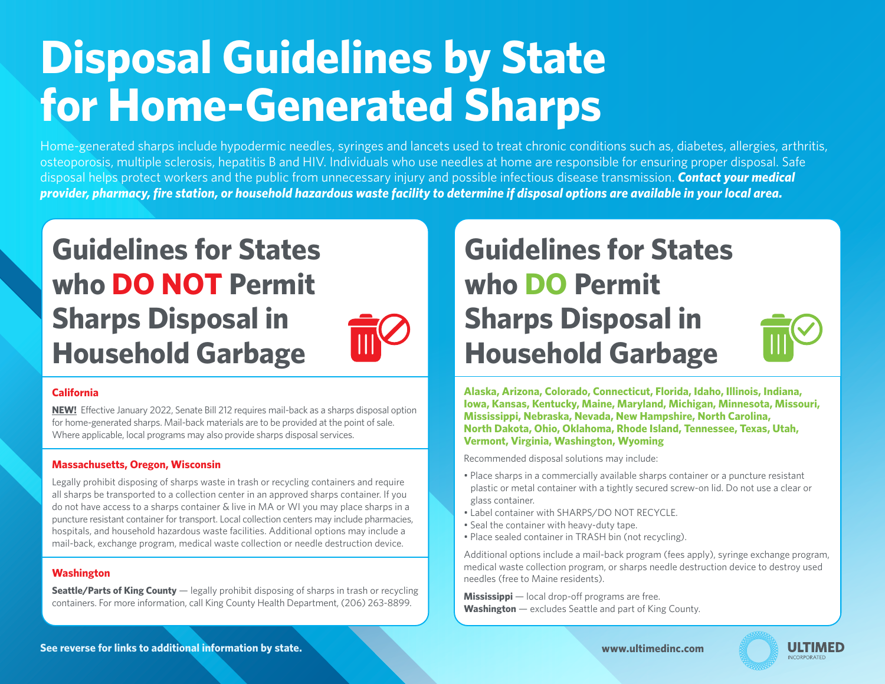# **Disposal Guidelines by State for Home-Generated Sharps**

Home-generated sharps include hypodermic needles, syringes and lancets used to treat chronic conditions such as, diabetes, allergies, arthritis, osteoporosis, multiple sclerosis, hepatitis B and HIV. Individuals who use needles at home are responsible for ensuring proper disposal. Safe disposal helps protect workers and the public from unnecessary injury and possible infectious disease transmission. *Contact your medical provider, pharmacy, fire station, or household hazardous waste facility to determine if disposal options are available in your local area.*

# **Guidelines for States who DO NOT Permit Sharps Disposal in Household Garbage**



# **California**

**NEW!** Effective January 2022, Senate Bill 212 requires mail-back as a sharps disposal option for home-generated sharps. Mail-back materials are to be provided at the point of sale. Where applicable, local programs may also provide sharps disposal services.

# **Massachusetts, Oregon, Wisconsin**

Legally prohibit disposing of sharps waste in trash or recycling containers and require all sharps be transported to a collection center in an approved sharps container. If you do not have access to a sharps container & live in MA or WI you may place sharps in a puncture resistant container for transport. Local collection centers may include pharmacies, hospitals, and household hazardous waste facilities. Additional options may include a mail-back, exchange program, medical waste collection or needle destruction device.

# **Washington**

**Seattle/Parts of King County** — legally prohibit disposing of sharps in trash or recycling containers. For more information, call King County Health Department, (206) 263-8899.

# **Guidelines for States who DO Permit Sharps Disposal in Household Garbage**

**Alaska, Arizona, Colorado, Connecticut, Florida, Idaho, Illinois, Indiana, Iowa, Kansas, Kentucky, Maine, Maryland, Michigan, Minnesota, Missouri, Mississippi, Nebraska, Nevada, New Hampshire, North Carolina, North Dakota, Ohio, Oklahoma, Rhode Island, Tennessee, Texas, Utah, Vermont, Virginia, Washington, Wyoming** 

Recommended disposal solutions may include:

- Place sharps in a commercially available sharps container or a puncture resistant plastic or metal container with a tightly secured screw-on lid. Do not use a clear or glass container.
- Label container with SHARPS/DO NOT RECYCLE.
- Seal the container with heavy-duty tape.
- Place sealed container in TRASH bin (not recycling).

Additional options include a mail-back program (fees apply), syringe exchange program, medical waste collection program, or sharps needle destruction device to destroy used needles (free to Maine residents).

**Mississippi** — local drop-off programs are free. **Washington** — excludes Seattle and part of King County.